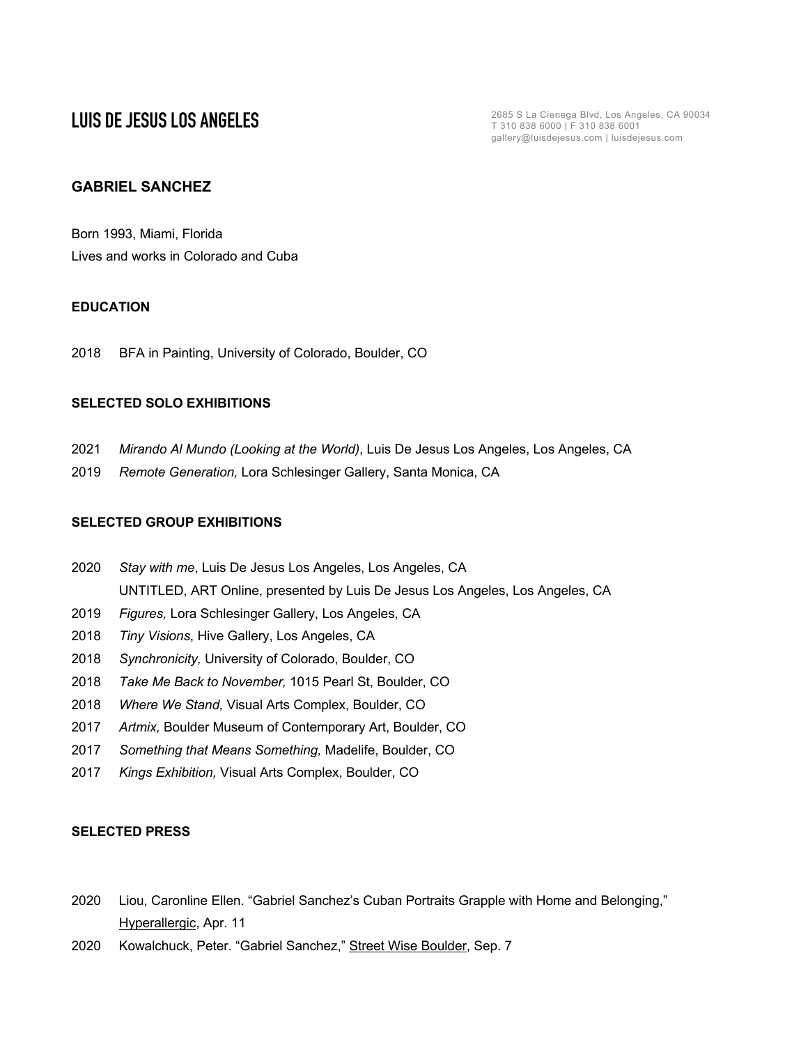**LUIS DE JESUS LOS ANGELES** T 310 838 6000 | F 310 838 6001 gallery@luisdejesus.com | luisdejesus.com

# **GABRIEL SANCHEZ**

Born 1993, Miami, Florida Lives and works in Colorado and Cuba

# **EDUCATION**

2018 BFA in Painting, University of Colorado, Boulder, CO

## **SELECTED SOLO EXHIBITIONS**

- 2021 *Mirando Al Mundo (Looking at the World)*, Luis De Jesus Los Angeles, Los Angeles, CA
- 2019 *Remote Generation,* Lora Schlesinger Gallery, Santa Monica, CA

### **SELECTED GROUP EXHIBITIONS**

- 2020 *Stay with me*, Luis De Jesus Los Angeles, Los Angeles, CA UNTITLED, ART Online, presented by Luis De Jesus Los Angeles, Los Angeles, CA
- 2019 *Figures,* Lora Schlesinger Gallery, Los Angeles, CA
- 2018 *Tiny Visions*, Hive Gallery, Los Angeles, CA
- 2018 *Synchronicity,* University of Colorado, Boulder, CO
- 2018 *Take Me Back to November,* 1015 Pearl St, Boulder, CO
- 2018 *Where We Stand,* Visual Arts Complex, Boulder, CO
- 2017 *Artmix,* Boulder Museum of Contemporary Art, Boulder, CO
- 2017 *Something that Means Something,* Madelife, Boulder, CO
- 2017 *Kings Exhibition,* Visual Arts Complex, Boulder, CO

### **SELECTED PRESS**

- 2020 Liou, Caronline Ellen. "Gabriel Sanchez's Cuban Portraits Grapple with Home and Belonging," Hyperallergic, Apr. 11
- 2020 Kowalchuck, Peter. "Gabriel Sanchez," Street Wise Boulder, Sep. 7